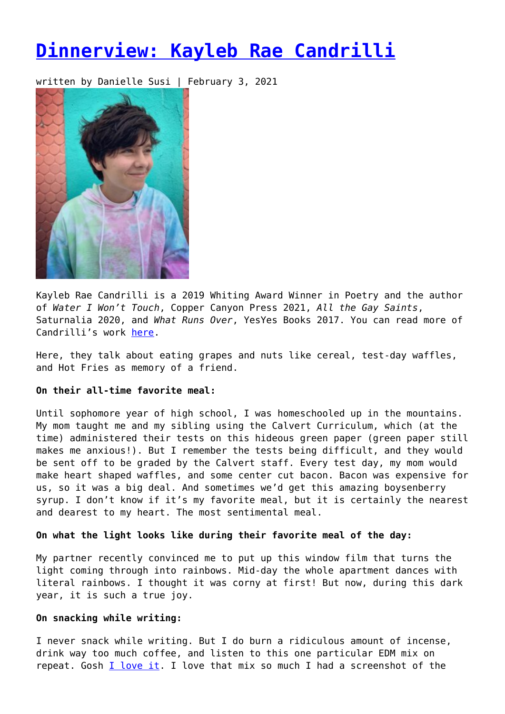# **[Dinnerview: Kayleb Rae Candrilli](https://entropymag.org/dinnerview-kayleb-rae-candrilli/)**

written by Danielle Susi | February 3, 2021



Kayleb Rae Candrilli is a 2019 Whiting Award Winner in Poetry and the author of *Water I Won't Touch*, Copper Canyon Press 2021, *All the Gay Saints*, Saturnalia 2020, and *What Runs Over*, YesYes Books 2017. You can read more of Candrilli's work [here.](https://www.krcandrilli.com/)

Here, they talk about eating grapes and nuts like cereal, test-day waffles, and Hot Fries as memory of a friend.

# **On their all-time favorite meal:**

Until sophomore year of high school, I was homeschooled up in the mountains. My mom taught me and my sibling using the Calvert Curriculum, which (at the time) administered their tests on this hideous green paper (green paper still makes me anxious!). But I remember the tests being difficult, and they would be sent off to be graded by the Calvert staff. Every test day, my mom would make heart shaped waffles, and some center cut bacon. Bacon was expensive for us, so it was a big deal. And sometimes we'd get this amazing boysenberry syrup. I don't know if it's my favorite meal, but it is certainly the nearest and dearest to my heart. The most sentimental meal.

#### **On what the light looks like during their favorite meal of the day:**

My partner recently convinced me to put up this window film that turns the light coming through into rainbows. Mid-day the whole apartment dances with literal rainbows. I thought it was corny at first! But now, during this dark year, it is such a true joy.

## **On snacking while writing:**

I never snack while writing. But I do burn a ridiculous amount of incense, drink way too much coffee, and listen to this one particular EDM mix on repeat. Gosh [I love it](https://www.youtube.com/watch?v=f9qavey27Kc). I love that mix so much I had a screenshot of the